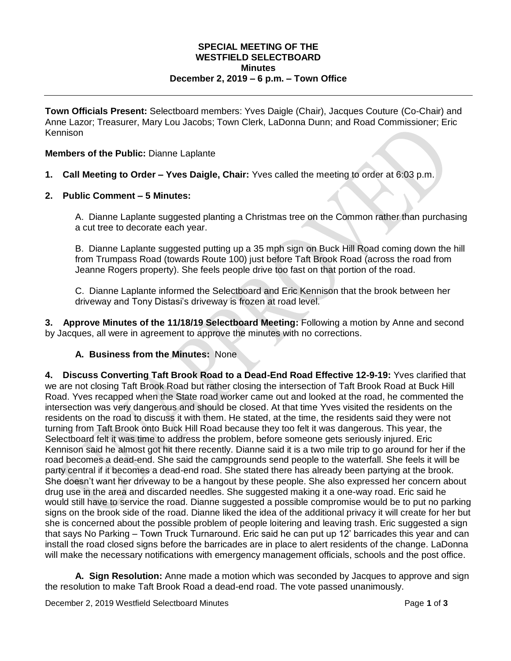### **SPECIAL MEETING OF THE WESTFIELD SELECTBOARD Minutes December 2, 2019 – 6 p.m. – Town Office**

**Town Officials Present:** Selectboard members: Yves Daigle (Chair), Jacques Couture (Co-Chair) and Anne Lazor; Treasurer, Mary Lou Jacobs; Town Clerk, LaDonna Dunn; and Road Commissioner; Eric Kennison

### **Members of the Public:** Dianne Laplante

- **1. Call Meeting to Order – Yves Daigle, Chair:** Yves called the meeting to order at 6:03 p.m.
- **2. Public Comment – 5 Minutes:**

A. Dianne Laplante suggested planting a Christmas tree on the Common rather than purchasing a cut tree to decorate each year.

B. Dianne Laplante suggested putting up a 35 mph sign on Buck Hill Road coming down the hill from Trumpass Road (towards Route 100) just before Taft Brook Road (across the road from Jeanne Rogers property). She feels people drive too fast on that portion of the road.

C. Dianne Laplante informed the Selectboard and Eric Kennison that the brook between her driveway and Tony Distasi's driveway is frozen at road level.

**3. Approve Minutes of the 11/18/19 Selectboard Meeting:** Following a motion by Anne and second by Jacques, all were in agreement to approve the minutes with no corrections.

### **A. Business from the Minutes:** None

**4. Discuss Converting Taft Brook Road to a Dead-End Road Effective 12-9-19:** Yves clarified that we are not closing Taft Brook Road but rather closing the intersection of Taft Brook Road at Buck Hill Road. Yves recapped when the State road worker came out and looked at the road, he commented the intersection was very dangerous and should be closed. At that time Yves visited the residents on the residents on the road to discuss it with them. He stated, at the time, the residents said they were not turning from Taft Brook onto Buck Hill Road because they too felt it was dangerous. This year, the Selectboard felt it was time to address the problem, before someone gets seriously injured. Eric Kennison said he almost got hit there recently. Dianne said it is a two mile trip to go around for her if the road becomes a dead-end. She said the campgrounds send people to the waterfall. She feels it will be party central if it becomes a dead-end road. She stated there has already been partying at the brook. She doesn't want her driveway to be a hangout by these people. She also expressed her concern about drug use in the area and discarded needles. She suggested making it a one-way road. Eric said he would still have to service the road. Dianne suggested a possible compromise would be to put no parking signs on the brook side of the road. Dianne liked the idea of the additional privacy it will create for her but she is concerned about the possible problem of people loitering and leaving trash. Eric suggested a sign that says No Parking – Town Truck Turnaround. Eric said he can put up 12' barricades this year and can install the road closed signs before the barricades are in place to alert residents of the change. LaDonna will make the necessary notifications with emergency management officials, schools and the post office.

**A. Sign Resolution:** Anne made a motion which was seconded by Jacques to approve and sign the resolution to make Taft Brook Road a dead-end road. The vote passed unanimously.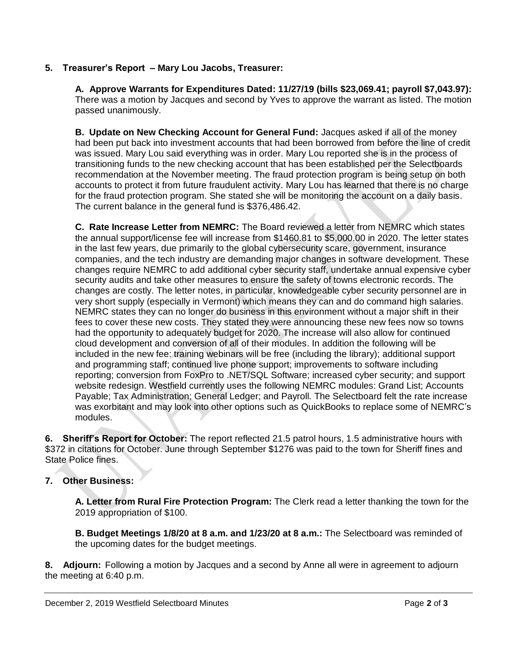# **5. Treasurer's Report – Mary Lou Jacobs, Treasurer:**

**A. Approve Warrants for Expenditures Dated: 11/27/19 (bills \$23,069.41; payroll \$7,043.97):** There was a motion by Jacques and second by Yves to approve the warrant as listed. The motion passed unanimously.

**B. Update on New Checking Account for General Fund:** Jacques asked if all of the money had been put back into investment accounts that had been borrowed from before the line of credit was issued. Mary Lou said everything was in order. Mary Lou reported she is in the process of transitioning funds to the new checking account that has been established per the Selectboards recommendation at the November meeting. The fraud protection program is being setup on both accounts to protect it from future fraudulent activity. Mary Lou has learned that there is no charge for the fraud protection program. She stated she will be monitoring the account on a daily basis. The current balance in the general fund is \$376,486.42.

**C. Rate Increase Letter from NEMRC:** The Board reviewed a letter from NEMRC which states the annual support/license fee will increase from \$1460.81 to \$5,000.00 in 2020. The letter states in the last few years, due primarily to the global cybersecurity scare, government, insurance companies, and the tech industry are demanding major changes in software development. These changes require NEMRC to add additional cyber security staff, undertake annual expensive cyber security audits and take other measures to ensure the safety of towns electronic records. The changes are costly. The letter notes, in particular, knowledgeable cyber security personnel are in very short supply (especially in Vermont) which means they can and do command high salaries. NEMRC states they can no longer do business in this environment without a major shift in their fees to cover these new costs. They stated they were announcing these new fees now so towns had the opportunity to adequately budget for 2020. The increase will also allow for continued cloud development and conversion of all of their modules. In addition the following will be included in the new fee: training webinars will be free (including the library); additional support and programming staff; continued live phone support; improvements to software including reporting; conversion from FoxPro to .NET/SQL Software; increased cyber security; and support website redesign. Westfield currently uses the following NEMRC modules: Grand List; Accounts Payable; Tax Administration; General Ledger; and Payroll. The Selectboard felt the rate increase was exorbitant and may look into other options such as QuickBooks to replace some of NEMRC's modules.

**6. Sheriff's Report for October:** The report reflected 21.5 patrol hours, 1.5 administrative hours with \$372 in citations for October. June through September \$1276 was paid to the town for Sheriff fines and State Police fines.

# **7. Other Business:**

**A. Letter from Rural Fire Protection Program:** The Clerk read a letter thanking the town for the 2019 appropriation of \$100.

**B. Budget Meetings 1/8/20 at 8 a.m. and 1/23/20 at 8 a.m.:** The Selectboard was reminded of the upcoming dates for the budget meetings.

**8. Adjourn:** Following a motion by Jacques and a second by Anne all were in agreement to adjourn the meeting at 6:40 p.m.